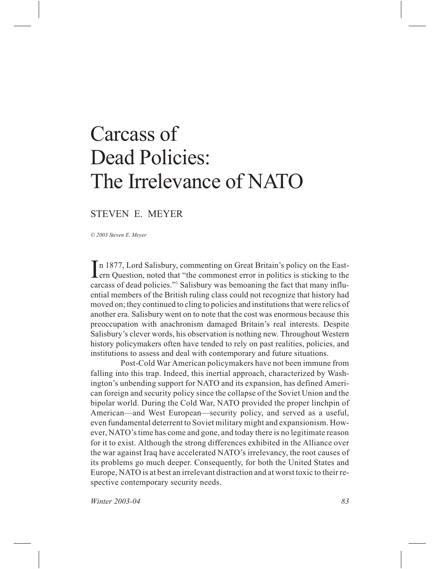# Carcass of Dead Policies: The Irrelevance of NATO

## STEVEN E. MEYER

*© 2003 Steven E. Meyer*

In 1877, Lord Salisbury, commenting on Great Britain's policy on the East-<br>
I ern Question, noted that "the commonest error in politics is sticking to the n 1877, Lord Salisbury, commenting on Great Britain's policy on the Eastcarcass of dead policies."1 Salisbury was bemoaning the fact that many influential members of the British ruling class could not recognize that history had moved on; they continued to cling to policies and institutions that were relics of another era. Salisbury went on to note that the cost was enormous because this preoccupation with anachronism damaged Britain's real interests. Despite Salisbury's clever words, his observation is nothing new. Throughout Western history policymakers often have tended to rely on past realities, policies, and institutions to assess and deal with contemporary and future situations.

Post-Cold War American policymakers have not been immune from falling into this trap. Indeed, this inertial approach, characterized by Washington's unbending support for NATO and its expansion, has defined American foreign and security policy since the collapse of the Soviet Union and the bipolar world. During the Cold War, NATO provided the proper linchpin of American—and West European—security policy, and served as a useful, even fundamental deterrent to Soviet military might and expansionism. However, NATO's time has come and gone, and today there is no legitimate reason for it to exist. Although the strong differences exhibited in the Alliance over the war against Iraq have accelerated NATO's irrelevancy, the root causes of its problems go much deeper. Consequently, for both the United States and Europe, NATO is at best an irrelevant distraction and at worst toxic to their respective contemporary security needs.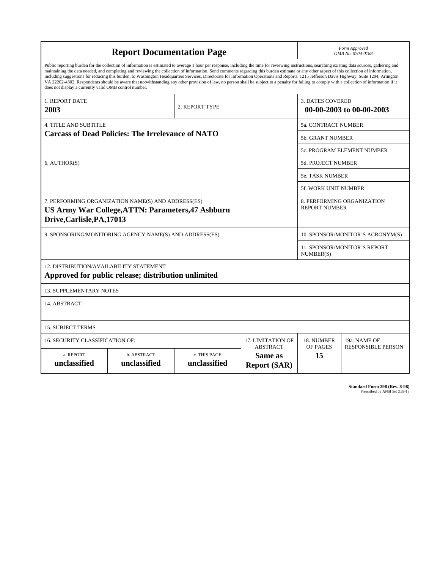| <b>Report Documentation Page</b>                                                                                                                                                                                                                                                                                                                                                                                                                                                                                                                                                                                                                                                                                                                                                                                                                                   |                             |                              |                                                   | Form Approved<br>OMB No. 0704-0188                  |                           |
|--------------------------------------------------------------------------------------------------------------------------------------------------------------------------------------------------------------------------------------------------------------------------------------------------------------------------------------------------------------------------------------------------------------------------------------------------------------------------------------------------------------------------------------------------------------------------------------------------------------------------------------------------------------------------------------------------------------------------------------------------------------------------------------------------------------------------------------------------------------------|-----------------------------|------------------------------|---------------------------------------------------|-----------------------------------------------------|---------------------------|
| Public reporting burden for the collection of information is estimated to average 1 hour per response, including the time for reviewing instructions, searching existing data sources, gathering and<br>maintaining the data needed, and completing and reviewing the collection of information. Send comments regarding this burden estimate or any other aspect of this collection of information,<br>including suggestions for reducing this burden, to Washington Headquarters Services, Directorate for Information Operations and Reports, 1215 Jefferson Davis Highway, Suite 1204, Arlington<br>VA 22202-4302. Respondents should be aware that notwithstanding any other provision of law, no person shall be subject to a penalty for failing to comply with a collection of information if it<br>does not display a currently valid OMB control number. |                             |                              |                                                   |                                                     |                           |
| 1. REPORT DATE<br>2003                                                                                                                                                                                                                                                                                                                                                                                                                                                                                                                                                                                                                                                                                                                                                                                                                                             |                             | 2. REPORT TYPE               |                                                   | <b>3. DATES COVERED</b><br>00-00-2003 to 00-00-2003 |                           |
| <b>4. TITLE AND SUBTITLE</b>                                                                                                                                                                                                                                                                                                                                                                                                                                                                                                                                                                                                                                                                                                                                                                                                                                       |                             |                              |                                                   | <b>5a. CONTRACT NUMBER</b>                          |                           |
| <b>Carcass of Dead Policies: The Irrelevance of NATO</b>                                                                                                                                                                                                                                                                                                                                                                                                                                                                                                                                                                                                                                                                                                                                                                                                           |                             |                              |                                                   | 5b. GRANT NUMBER                                    |                           |
|                                                                                                                                                                                                                                                                                                                                                                                                                                                                                                                                                                                                                                                                                                                                                                                                                                                                    |                             |                              |                                                   | 5c. PROGRAM ELEMENT NUMBER                          |                           |
| 6. AUTHOR(S)                                                                                                                                                                                                                                                                                                                                                                                                                                                                                                                                                                                                                                                                                                                                                                                                                                                       |                             |                              |                                                   | 5d. PROJECT NUMBER                                  |                           |
|                                                                                                                                                                                                                                                                                                                                                                                                                                                                                                                                                                                                                                                                                                                                                                                                                                                                    |                             |                              |                                                   | <b>5e. TASK NUMBER</b>                              |                           |
|                                                                                                                                                                                                                                                                                                                                                                                                                                                                                                                                                                                                                                                                                                                                                                                                                                                                    |                             |                              |                                                   | 5f. WORK UNIT NUMBER                                |                           |
| 7. PERFORMING ORGANIZATION NAME(S) AND ADDRESS(ES)<br><b>US Army War College, ATTN: Parameters, 47 Ashburn</b><br>Drive, Carlisle, PA, 17013                                                                                                                                                                                                                                                                                                                                                                                                                                                                                                                                                                                                                                                                                                                       |                             |                              |                                                   | 8. PERFORMING ORGANIZATION<br><b>REPORT NUMBER</b>  |                           |
| 9. SPONSORING/MONITORING AGENCY NAME(S) AND ADDRESS(ES)                                                                                                                                                                                                                                                                                                                                                                                                                                                                                                                                                                                                                                                                                                                                                                                                            |                             |                              |                                                   | 10. SPONSOR/MONITOR'S ACRONYM(S)                    |                           |
|                                                                                                                                                                                                                                                                                                                                                                                                                                                                                                                                                                                                                                                                                                                                                                                                                                                                    |                             |                              |                                                   | 11. SPONSOR/MONITOR'S REPORT<br>NUMBER(S)           |                           |
| 12. DISTRIBUTION/AVAILABILITY STATEMENT<br>Approved for public release; distribution unlimited                                                                                                                                                                                                                                                                                                                                                                                                                                                                                                                                                                                                                                                                                                                                                                     |                             |                              |                                                   |                                                     |                           |
| <b>13. SUPPLEMENTARY NOTES</b>                                                                                                                                                                                                                                                                                                                                                                                                                                                                                                                                                                                                                                                                                                                                                                                                                                     |                             |                              |                                                   |                                                     |                           |
| 14. ABSTRACT                                                                                                                                                                                                                                                                                                                                                                                                                                                                                                                                                                                                                                                                                                                                                                                                                                                       |                             |                              |                                                   |                                                     |                           |
| <b>15. SUBJECT TERMS</b>                                                                                                                                                                                                                                                                                                                                                                                                                                                                                                                                                                                                                                                                                                                                                                                                                                           |                             |                              |                                                   |                                                     |                           |
| 16. SECURITY CLASSIFICATION OF:                                                                                                                                                                                                                                                                                                                                                                                                                                                                                                                                                                                                                                                                                                                                                                                                                                    | 17. LIMITATION OF           | 18. NUMBER                   | 19a. NAME OF                                      |                                                     |                           |
| a. REPORT<br>unclassified                                                                                                                                                                                                                                                                                                                                                                                                                                                                                                                                                                                                                                                                                                                                                                                                                                          | b. ABSTRACT<br>unclassified | c. THIS PAGE<br>unclassified | <b>ABSTRACT</b><br>Same as<br><b>Report (SAR)</b> | OF PAGES<br>15                                      | <b>RESPONSIBLE PERSON</b> |

**Standard Form 298 (Rev. 8-98)**<br>Prescribed by ANSI Std Z39-18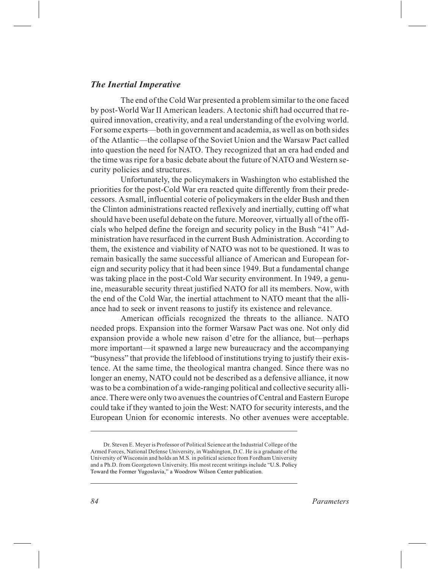### *The Inertial Imperative*

The end of the Cold War presented a problem similar to the one faced by post-World War II American leaders. A tectonic shift had occurred that required innovation, creativity, and a real understanding of the evolving world. For some experts—both in government and academia, as well as on both sides of the Atlantic—the collapse of the Soviet Union and the Warsaw Pact called into question the need for NATO. They recognized that an era had ended and the time was ripe for a basic debate about the future of NATO and Western security policies and structures.

Unfortunately, the policymakers in Washington who established the priorities for the post-Cold War era reacted quite differently from their predecessors. A small, influential coterie of policymakers in the elder Bush and then the Clinton administrations reacted reflexively and inertially, cutting off what should have been useful debate on the future. Moreover, virtually all of the officials who helped define the foreign and security policy in the Bush "41" Administration have resurfaced in the current Bush Administration. According to them, the existence and viability of NATO was not to be questioned. It was to remain basically the same successful alliance of American and European foreign and security policy that it had been since 1949. But a fundamental change was taking place in the post-Cold War security environment. In 1949, a genuine, measurable security threat justified NATO for all its members. Now, with the end of the Cold War, the inertial attachment to NATO meant that the alliance had to seek or invent reasons to justify its existence and relevance.

American officials recognized the threats to the alliance. NATO needed props. Expansion into the former Warsaw Pact was one. Not only did expansion provide a whole new raison d'etre for the alliance, but—perhaps more important—it spawned a large new bureaucracy and the accompanying "busyness" that provide the lifeblood of institutions trying to justify their existence. At the same time, the theological mantra changed. Since there was no longer an enemy, NATO could not be described as a defensive alliance, it now was to be a combination of a wide-ranging political and collective security alliance. There were only two avenues the countries of Central and Eastern Europe could take if they wanted to join the West: NATO for security interests, and the European Union for economic interests. No other avenues were acceptable.

Dr. Steven E. Meyer is Professor of Political Science at the Industrial College of the Armed Forces, National Defense University, in Washington, D.C. He is a graduate of the University of Wisconsin and holds an M.S. in political science from Fordham University and a Ph.D. from Georgetown University. His most recent writings include "U.S. Policy Toward the Former Yugoslavia," a Woodrow Wilson Center publication.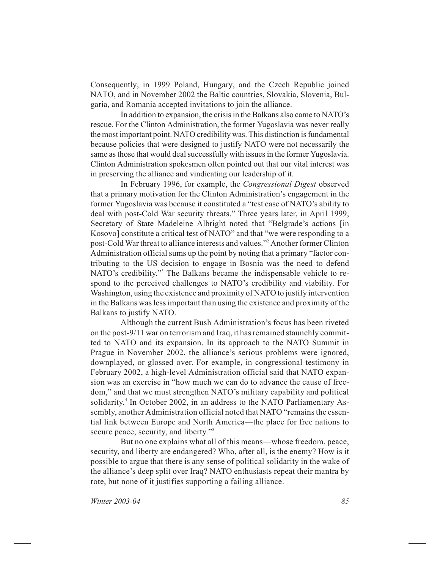Consequently, in 1999 Poland, Hungary, and the Czech Republic joined NATO, and in November 2002 the Baltic countries, Slovakia, Slovenia, Bulgaria, and Romania accepted invitations to join the alliance.

In addition to expansion, the crisis in the Balkans also came to NATO's rescue. For the Clinton Administration, the former Yugoslavia was never really the most important point. NATO credibility was. This distinction is fundamental because policies that were designed to justify NATO were not necessarily the same as those that would deal successfully with issues in the former Yugoslavia. Clinton Administration spokesmen often pointed out that our vital interest was in preserving the alliance and vindicating our leadership of it.

In February 1996, for example, the *Congressional Digest* observed that a primary motivation for the Clinton Administration's engagement in the former Yugoslavia was because it constituted a "test case of NATO's ability to deal with post-Cold War security threats." Three years later, in April 1999, Secretary of State Madeleine Albright noted that "Belgrade's actions [in Kosovo] constitute a critical test of NATO" and that "we were responding to a post-Cold War threat to alliance interests and values."2 Another former Clinton Administration official sums up the point by noting that a primary "factor contributing to the US decision to engage in Bosnia was the need to defend NATO's credibility."<sup>3</sup> The Balkans became the indispensable vehicle to respond to the perceived challenges to NATO's credibility and viability. For Washington, using the existence and proximity of NATO to justify intervention in the Balkans was less important than using the existence and proximity of the Balkans to justify NATO.

Although the current Bush Administration's focus has been riveted on the post-9/11 war on terrorism and Iraq, it has remained staunchly committed to NATO and its expansion. In its approach to the NATO Summit in Prague in November 2002, the alliance's serious problems were ignored, downplayed, or glossed over. For example, in congressional testimony in February 2002, a high-level Administration official said that NATO expansion was an exercise in "how much we can do to advance the cause of freedom," and that we must strengthen NATO's military capability and political solidarity.<sup>4</sup> In October 2002, in an address to the NATO Parliamentary Assembly, another Administration official noted that NATO "remains the essential link between Europe and North America—the place for free nations to secure peace, security, and liberty."<sup>5</sup>

But no one explains what all of this means—whose freedom, peace, security, and liberty are endangered? Who, after all, is the enemy? How is it possible to argue that there is any sense of political solidarity in the wake of the alliance's deep split over Iraq? NATO enthusiasts repeat their mantra by rote, but none of it justifies supporting a failing alliance.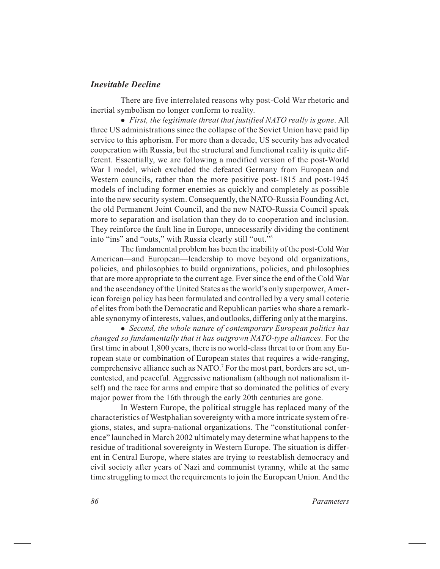#### **Inevitable Decline** *Inevitable Decline*

There are five interrelated reasons why post-Cold War rhetoric and inertial symbolism no longer conform to reality.

 *First, the legitimate threat that justified NATO really is gone*. All three US administrations since the collapse of the Soviet Union have paid lip service to this aphorism. For more than a decade, US security has advocated cooperation with Russia, but the structural and functional reality is quite different. Essentially, we are following a modified version of the post-World War I model, which excluded the defeated Germany from European and Western councils, rather than the more positive post-1815 and post-1945 models of including former enemies as quickly and completely as possible into the new security system. Consequently, the NATO-Russia Founding Act, the old Permanent Joint Council, and the new NATO-Russia Council speak more to separation and isolation than they do to cooperation and inclusion. They reinforce the fault line in Europe, unnecessarily dividing the continent into "ins" and "outs," with Russia clearly still "out."6

The fundamental problem has been the inability of the post-Cold War American—and European—leadership to move beyond old organizations, policies, and philosophies to build organizations, policies, and philosophies that are more appropriate to the current age. Ever since the end of the Cold War and the ascendancy of the United States as the world's only superpower, American foreign policy has been formulated and controlled by a very small coterie of elites from both the Democratic and Republican parties who share a remarkable synonymy of interests, values, and outlooks, differing only at the margins.

 *Second, the whole nature of contemporary European politics has changed so fundamentally that it has outgrown NATO-type alliances*. For the first time in about 1,800 years, there is no world-class threat to or from any European state or combination of European states that requires a wide-ranging, comprehensive alliance such as NATO.<sup>7</sup> For the most part, borders are set, uncontested, and peaceful. Aggressive nationalism (although not nationalism itself) and the race for arms and empire that so dominated the politics of every major power from the 16th through the early 20th centuries are gone.

In Western Europe, the political struggle has replaced many of the characteristics of Westphalian sovereignty with a more intricate system of regions, states, and supra-national organizations. The "constitutional conference" launched in March 2002 ultimately may determine what happens to the residue of traditional sovereignty in Western Europe. The situation is different in Central Europe, where states are trying to reestablish democracy and civil society after years of Nazi and communist tyranny, while at the same time struggling to meet the requirements to join the European Union. And the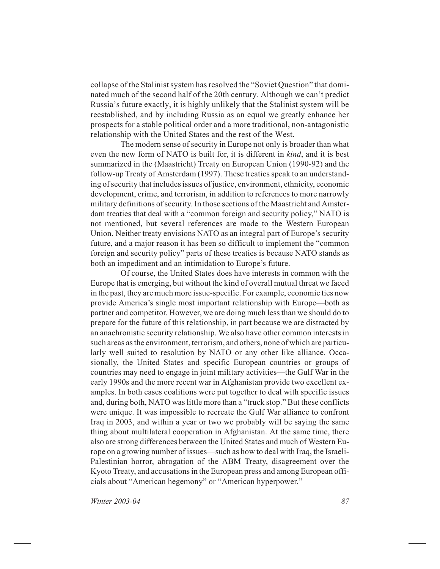collapse of the Stalinist system has resolved the "Soviet Question" that dominated much of the second half of the 20th century. Although we can't predict Russia's future exactly, it is highly unlikely that the Stalinist system will be reestablished, and by including Russia as an equal we greatly enhance her prospects for a stable political order and a more traditional, non-antagonistic relationship with the United States and the rest of the West.

The modern sense of security in Europe not only is broader than what even the new form of NATO is built for, it is different in *kind*, and it is best summarized in the (Maastricht) Treaty on European Union (1990-92) and the follow-up Treaty of Amsterdam (1997). These treaties speak to an understanding of security that includes issues of justice, environment, ethnicity, economic development, crime, and terrorism, in addition to references to more narrowly military definitions of security. In those sections of the Maastricht and Amsterdam treaties that deal with a "common foreign and security policy," NATO is not mentioned, but several references are made to the Western European Union. Neither treaty envisions NATO as an integral part of Europe's security future, and a major reason it has been so difficult to implement the "common foreign and security policy" parts of these treaties is because NATO stands as both an impediment and an intimidation to Europe's future.

Of course, the United States does have interests in common with the Europe that is emerging, but without the kind of overall mutual threat we faced in the past, they are much more issue-specific. For example, economic ties now provide America's single most important relationship with Europe—both as partner and competitor. However, we are doing much less than we should do to prepare for the future of this relationship, in part because we are distracted by an anachronistic security relationship. We also have other common interests in such areas as the environment, terrorism, and others, none of which are particularly well suited to resolution by NATO or any other like alliance. Occasionally, the United States and specific European countries or groups of countries may need to engage in joint military activities—the Gulf War in the early 1990s and the more recent war in Afghanistan provide two excellent examples. In both cases coalitions were put together to deal with specific issues and, during both, NATO was little more than a "truck stop." But these conflicts were unique. It was impossible to recreate the Gulf War alliance to confront Iraq in 2003, and within a year or two we probably will be saying the same thing about multilateral cooperation in Afghanistan. At the same time, there also are strong differences between the United States and much of Western Europe on a growing number of issues—such as how to deal with Iraq, the Israeli-Palestinian horror, abrogation of the ABM Treaty, disagreement over the Kyoto Treaty, and accusations in the European press and among European officials about "American hegemony" or "American hyperpower."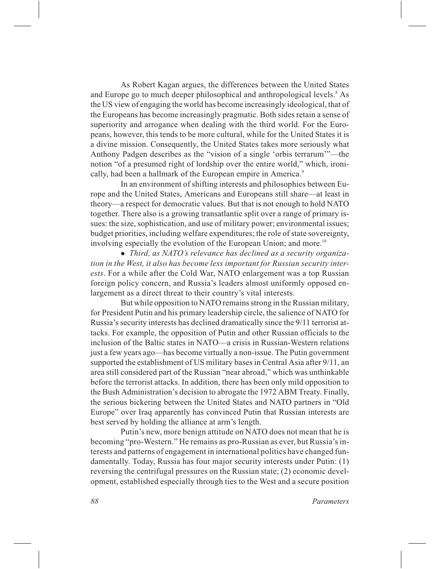As Robert Kagan argues, the differences between the United States and Europe go to much deeper philosophical and anthropological levels.<sup>8</sup> As the US view of engaging the world has become increasingly ideological, that of the Europeans has become increasingly pragmatic. Both sides retain a sense of superiority and arrogance when dealing with the third world. For the Europeans, however, this tends to be more cultural, while for the United States it is a divine mission. Consequently, the United States takes more seriously what Anthony Padgen describes as the "vision of a single 'orbis terrarum'"—the notion "of a presumed right of lordship over the entire world," which, ironically, had been a hallmark of the European empire in America.<sup>9</sup>

In an environment of shifting interests and philosophies between Europe and the United States, Americans and Europeans still share—at least in theory—a respect for democratic values. But that is not enough to hold NATO together. There also is a growing transatlantic split over a range of primary issues: the size, sophistication, and use of military power; environmental issues; budget priorities, including welfare expenditures; the role of state sovereignty, involving especially the evolution of the European Union; and more.<sup>10</sup>

 *Third, as NATO's relevance has declined as a security organization in the West, it also has become less important for Russian security interests*. For a while after the Cold War, NATO enlargement was a top Russian foreign policy concern, and Russia's leaders almost uniformly opposed enlargement as a direct threat to their country's vital interests.

But while opposition to NATO remains strong in the Russian military, for President Putin and his primary leadership circle, the salience of NATO for Russia's security interests has declined dramatically since the 9/11 terrorist attacks. For example, the opposition of Putin and other Russian officials to the inclusion of the Baltic states in NATO—a crisis in Russian-Western relations just a few years ago—has become virtually a non-issue. The Putin government supported the establishment of US military bases in Central Asia after 9/11, an area still considered part of the Russian "near abroad," which was unthinkable before the terrorist attacks. In addition, there has been only mild opposition to the Bush Administration's decision to abrogate the 1972 ABM Treaty. Finally, the serious bickering between the United States and NATO partners in "Old Europe" over Iraq apparently has convinced Putin that Russian interests are best served by holding the alliance at arm's length.

Putin's new, more benign attitude on NATO does not mean that he is becoming "pro-Western." He remains as pro-Russian as ever, but Russia's interests and patterns of engagement in international politics have changed fundamentally. Today, Russia has four major security interests under Putin: (1) reversing the centrifugal pressures on the Russian state; (2) economic development, established especially through ties to the West and a secure position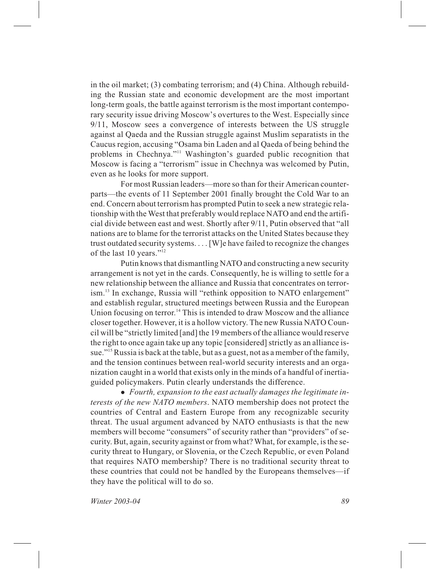in the oil market; (3) combating terrorism; and (4) China. Although rebuilding the Russian state and economic development are the most important long-term goals, the battle against terrorism is the most important contemporary security issue driving Moscow's overtures to the West. Especially since 9/11, Moscow sees a convergence of interests between the US struggle against al Qaeda and the Russian struggle against Muslim separatists in the Caucus region, accusing "Osama bin Laden and al Qaeda of being behind the problems in Chechnya."<sup>11</sup> Washington's guarded public recognition that Moscow is facing a "terrorism" issue in Chechnya was welcomed by Putin, even as he looks for more support.

For most Russian leaders—more so than for their American counterparts—the events of 11 September 2001 finally brought the Cold War to an end. Concern about terrorism has prompted Putin to seek a new strategic relationship with the West that preferably would replace NATO and end the artificial divide between east and west. Shortly after 9/11, Putin observed that "all nations are to blame for the terrorist attacks on the United States because they trust outdated security systems.... [W]e have failed to recognize the changes of the last 10 years."<sup>12</sup>

Putin knows that dismantling NATO and constructing a new security arrangement is not yet in the cards. Consequently, he is willing to settle for a new relationship between the alliance and Russia that concentrates on terrorism.13 In exchange, Russia will "rethink opposition to NATO enlargement" and establish regular, structured meetings between Russia and the European Union focusing on terror.<sup>14</sup> This is intended to draw Moscow and the alliance closer together. However, it is a hollow victory. The new Russia NATO Council will be "strictly limited [and] the 19 members of the alliance would reserve the right to once again take up any topic [considered] strictly as an alliance issue."<sup>15</sup> Russia is back at the table, but as a guest, not as a member of the family, and the tension continues between real-world security interests and an organization caught in a world that exists only in the minds of a handful of inertiaguided policymakers. Putin clearly understands the difference.

 *Fourth, expansion to the east actually damages the legitimate interests of the new NATO members*. NATO membership does not protect the countries of Central and Eastern Europe from any recognizable security threat. The usual argument advanced by NATO enthusiasts is that the new members will become "consumers" of security rather than "providers" of security. But, again, security against or from what? What, for example, is the security threat to Hungary, or Slovenia, or the Czech Republic, or even Poland that requires NATO membership? There is no traditional security threat to these countries that could not be handled by the Europeans themselves—if they have the political will to do so.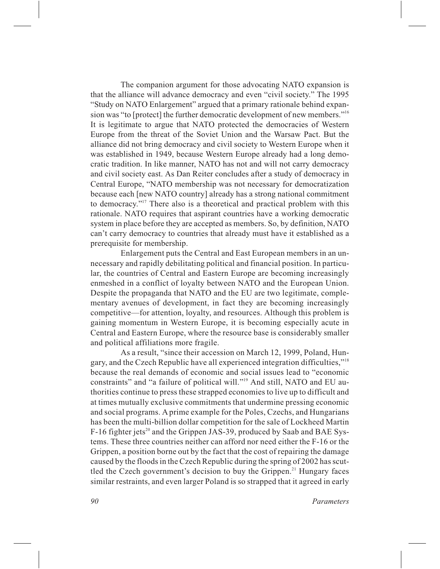The companion argument for those advocating NATO expansion is that the alliance will advance democracy and even "civil society." The 1995 "Study on NATO Enlargement" argued that a primary rationale behind expansion was "to [protect] the further democratic development of new members."<sup>16</sup> It is legitimate to argue that NATO protected the democracies of Western Europe from the threat of the Soviet Union and the Warsaw Pact. But the alliance did not bring democracy and civil society to Western Europe when it was established in 1949, because Western Europe already had a long democratic tradition. In like manner, NATO has not and will not carry democracy and civil society east. As Dan Reiter concludes after a study of democracy in Central Europe, "NATO membership was not necessary for democratization because each [new NATO country] already has a strong national commitment to democracy."17 There also is a theoretical and practical problem with this rationale. NATO requires that aspirant countries have a working democratic system in place before they are accepted as members. So, by definition, NATO can't carry democracy to countries that already must have it established as a prerequisite for membership.

Enlargement puts the Central and East European members in an unnecessary and rapidly debilitating political and financial position. In particular, the countries of Central and Eastern Europe are becoming increasingly enmeshed in a conflict of loyalty between NATO and the European Union. Despite the propaganda that NATO and the EU are two legitimate, complementary avenues of development, in fact they are becoming increasingly competitive—for attention, loyalty, and resources. Although this problem is gaining momentum in Western Europe, it is becoming especially acute in Central and Eastern Europe, where the resource base is considerably smaller and political affiliations more fragile.

As a result, "since their accession on March 12, 1999, Poland, Hungary, and the Czech Republic have all experienced integration difficulties,"18 because the real demands of economic and social issues lead to "economic constraints" and "a failure of political will."19 And still, NATO and EU authorities continue to press these strapped economies to live up to difficult and at times mutually exclusive commitments that undermine pressing economic and social programs. Aprime example for the Poles, Czechs, and Hungarians has been the multi-billion dollar competition for the sale of Lockheed Martin F-16 fighter jets<sup>20</sup> and the Grippen JAS-39, produced by Saab and BAE Systems. These three countries neither can afford nor need either the F-16 or the Grippen, a position borne out by the fact that the cost of repairing the damage caused by the floods in the Czech Republic during the spring of 2002 has scuttled the Czech government's decision to buy the Grippen.<sup>21</sup> Hungary faces similar restraints, and even larger Poland is so strapped that it agreed in early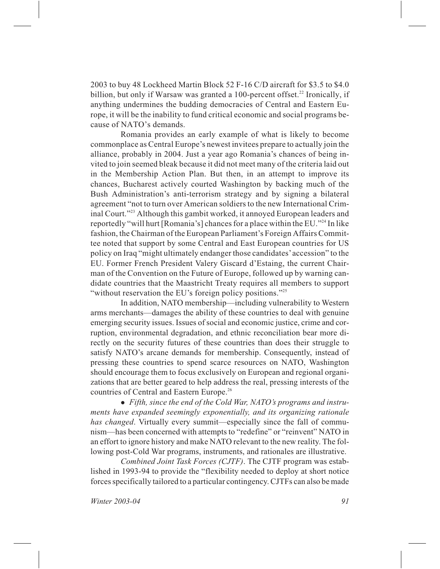2003 to buy 48 Lockheed Martin Block 52 F-16 C/D aircraft for \$3.5 to \$4.0 billion, but only if Warsaw was granted a 100-percent offset.<sup>22</sup> Ironically, if anything undermines the budding democracies of Central and Eastern Europe, it will be the inability to fund critical economic and social programs because of NATO's demands.

Romania provides an early example of what is likely to become commonplace as Central Europe's newest invitees prepare to actually join the alliance, probably in 2004. Just a year ago Romania's chances of being invited to join seemed bleak because it did not meet many of the criteria laid out in the Membership Action Plan. But then, in an attempt to improve its chances, Bucharest actively courted Washington by backing much of the Bush Administration's anti-terrorism strategy and by signing a bilateral agreement "not to turn over American soldiers to the new International Criminal Court."23 Although this gambit worked, it annoyed European leaders and reportedly "will hurt [Romania's] chances for a place within the EU."24 In like fashion, the Chairman of the European Parliament's Foreign Affairs Committee noted that support by some Central and East European countries for US policy on Iraq "might ultimately endanger those candidates'accession" to the EU. Former French President Valery Giscard d'Estaing, the current Chairman of the Convention on the Future of Europe, followed up by warning candidate countries that the Maastricht Treaty requires all members to support "without reservation the EU's foreign policy positions."<sup>25</sup>

In addition, NATO membership—including vulnerability to Western arms merchants—damages the ability of these countries to deal with genuine emerging security issues. Issues of social and economic justice, crime and corruption, environmental degradation, and ethnic reconciliation bear more directly on the security futures of these countries than does their struggle to satisfy NATO's arcane demands for membership. Consequently, instead of pressing these countries to spend scarce resources on NATO, Washington should encourage them to focus exclusively on European and regional organizations that are better geared to help address the real, pressing interests of the countries of Central and Eastern Europe.<sup>26</sup>

 *Fifth, since the end of the Cold War, NATO's programs and instruments have expanded seemingly exponentially, and its organizing rationale has changed*. Virtually every summit—especially since the fall of communism—has been concerned with attempts to "redefine" or "reinvent" NATO in an effort to ignore history and make NATO relevant to the new reality. The following post-Cold War programs, instruments, and rationales are illustrative.

*Combined Joint Task Forces (CJTF)*. The CJTF program was established in 1993-94 to provide the "flexibility needed to deploy at short notice forces specifically tailored to a particular contingency. CJTFs can also be made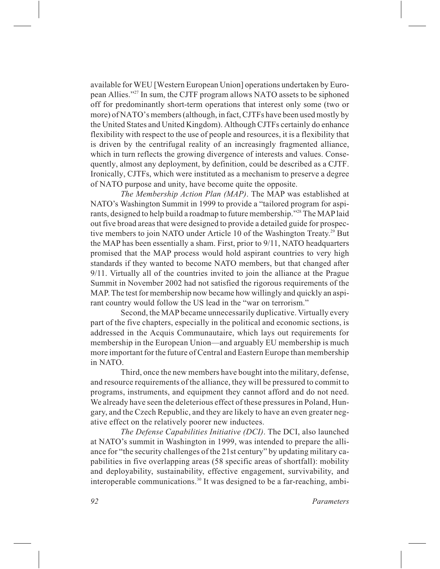available for WEU [Western European Union] operations undertaken by European Allies."27 In sum, the CJTF program allows NATO assets to be siphoned off for predominantly short-term operations that interest only some (two or more) of NATO's members (although, in fact, CJTFs have been used mostly by the United States and United Kingdom). Although CJTFs certainly do enhance flexibility with respect to the use of people and resources, it is a flexibility that is driven by the centrifugal reality of an increasingly fragmented alliance, which in turn reflects the growing divergence of interests and values. Consequently, almost any deployment, by definition, could be described as a CJTF. Ironically, CJTFs, which were instituted as a mechanism to preserve a degree of NATO purpose and unity, have become quite the opposite.

*The Membership Action Plan (MAP)*. The MAP was established at NATO's Washington Summit in 1999 to provide a "tailored program for aspirants, designed to help build a roadmap to future membership."<sup>28</sup> The MAP laid out five broad areas that were designed to provide a detailed guide for prospective members to join NATO under Article 10 of the Washington Treaty.<sup>29</sup> But the MAP has been essentially a sham. First, prior to 9/11, NATO headquarters promised that the MAP process would hold aspirant countries to very high standards if they wanted to become NATO members, but that changed after 9/11. Virtually all of the countries invited to join the alliance at the Prague Summit in November 2002 had not satisfied the rigorous requirements of the MAP. The test for membership now became how willingly and quickly an aspirant country would follow the US lead in the "war on terrorism."

Second, the MAP became unnecessarily duplicative. Virtually every part of the five chapters, especially in the political and economic sections, is addressed in the Acquis Communautaire, which lays out requirements for membership in the European Union—and arguably EU membership is much more important for the future of Central and Eastern Europe than membership in NATO.

Third, once the new members have bought into the military, defense, and resource requirements of the alliance, they will be pressured to commit to programs, instruments, and equipment they cannot afford and do not need. We already have seen the deleterious effect of these pressures in Poland, Hungary, and the Czech Republic, and they are likely to have an even greater negative effect on the relatively poorer new inductees.

*The Defense Capabilities Initiative (DCI)*. The DCI, also launched at NATO's summit in Washington in 1999, was intended to prepare the alliance for "the security challenges of the 21st century" by updating military capabilities in five overlapping areas (58 specific areas of shortfall): mobility and deployability, sustainability, effective engagement, survivability, and interoperable communications.<sup>30</sup> It was designed to be a far-reaching, ambi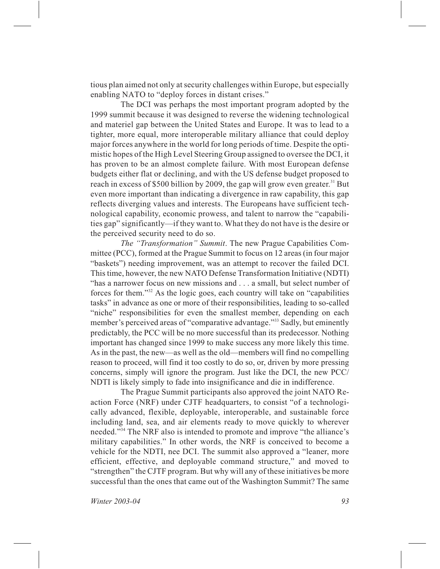tious plan aimed not only at security challenges within Europe, but especially enabling NATO to "deploy forces in distant crises."

The DCI was perhaps the most important program adopted by the 1999 summit because it was designed to reverse the widening technological and materiel gap between the United States and Europe. It was to lead to a tighter, more equal, more interoperable military alliance that could deploy major forces anywhere in the world for long periods of time. Despite the optimistic hopes of the High Level Steering Group assigned to oversee the DCI, it has proven to be an almost complete failure. With most European defense budgets either flat or declining, and with the US defense budget proposed to reach in excess of \$500 billion by 2009, the gap will grow even greater.<sup>31</sup> But even more important than indicating a divergence in raw capability, this gap reflects diverging values and interests. The Europeans have sufficient technological capability, economic prowess, and talent to narrow the "capabilities gap" significantly—if they want to. What they do not have is the desire or the perceived security need to do so.

*The "Transformation" Summit*. The new Prague Capabilities Committee (PCC), formed at the Prague Summit to focus on 12 areas (in four major "baskets") needing improvement, was an attempt to recover the failed DCI. This time, however, the new NATO Defense Transformation Initiative (NDTI) "has a narrower focus on new missions and . . . a small, but select number of forces for them."32 As the logic goes, each country will take on "capabilities tasks" in advance as one or more of their responsibilities, leading to so-called "niche" responsibilities for even the smallest member, depending on each member's perceived areas of "comparative advantage."<sup>33</sup> Sadly, but eminently predictably, the PCC will be no more successful than its predecessor. Nothing important has changed since 1999 to make success any more likely this time. As in the past, the new—as well as the old—members will find no compelling reason to proceed, will find it too costly to do so, or, driven by more pressing concerns, simply will ignore the program. Just like the DCI, the new PCC/ NDTI is likely simply to fade into insignificance and die in indifference.

The Prague Summit participants also approved the joint NATO Reaction Force (NRF) under CJTF headquarters, to consist "of a technologically advanced, flexible, deployable, interoperable, and sustainable force including land, sea, and air elements ready to move quickly to wherever needed."34 The NRF also is intended to promote and improve "the alliance's military capabilities." In other words, the NRF is conceived to become a vehicle for the NDTI, nee DCI. The summit also approved a "leaner, more efficient, effective, and deployable command structure," and moved to "strengthen" the CJTF program. But why will any of these initiatives be more successful than the ones that came out of the Washington Summit? The same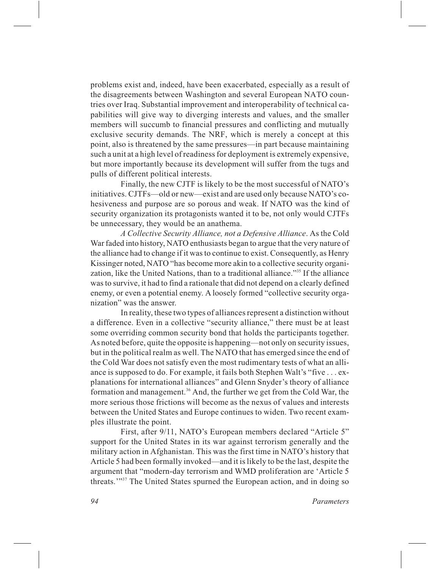problems exist and, indeed, have been exacerbated, especially as a result of the disagreements between Washington and several European NATO countries over Iraq. Substantial improvement and interoperability of technical capabilities will give way to diverging interests and values, and the smaller members will succumb to financial pressures and conflicting and mutually exclusive security demands. The NRF, which is merely a concept at this point, also is threatened by the same pressures—in part because maintaining such a unit at a high level of readiness for deployment is extremely expensive, but more importantly because its development will suffer from the tugs and pulls of different political interests.

Finally, the new CJTF is likely to be the most successful of NATO's initiatives. CJTFs—old or new—exist and are used only because NATO's cohesiveness and purpose are so porous and weak. If NATO was the kind of security organization its protagonists wanted it to be, not only would CJTFs be unnecessary, they would be an anathema.

*A Collective Security Alliance, not a Defensive Alliance*. As the Cold War faded into history, NATO enthusiasts began to argue that the very nature of the alliance had to change if it was to continue to exist. Consequently, as Henry Kissinger noted, NATO "has become more akin to a collective security organization, like the United Nations, than to a traditional alliance."35 If the alliance was to survive, it had to find a rationale that did not depend on a clearly defined enemy, or even a potential enemy. A loosely formed "collective security organization" was the answer.

In reality, these two types of alliances represent a distinction without a difference. Even in a collective "security alliance," there must be at least some overriding common security bond that holds the participants together. As noted before, quite the opposite is happening—not only on security issues, but in the political realm as well. The NATO that has emerged since the end of the Cold War does not satisfy even the most rudimentary tests of what an alliance is supposed to do. For example, it fails both Stephen Walt's "five . . . explanations for international alliances" and Glenn Snyder's theory of alliance formation and management.<sup>36</sup> And, the further we get from the Cold War, the more serious those frictions will become as the nexus of values and interests between the United States and Europe continues to widen. Two recent examples illustrate the point.

First, after 9/11, NATO's European members declared "Article 5" support for the United States in its war against terrorism generally and the military action in Afghanistan. This was the first time in NATO's history that Article 5 had been formally invoked—and it is likely to be the last, despite the argument that "modern-day terrorism and WMD proliferation are 'Article 5 threats.'"37 The United States spurned the European action, and in doing so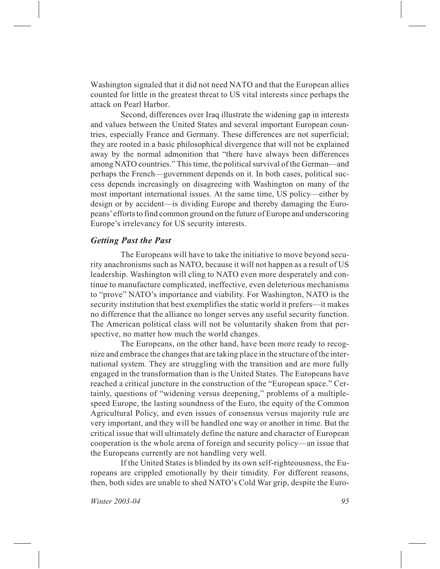Washington signaled that it did not need NATO and that the European allies counted for little in the greatest threat to US vital interests since perhaps the attack on Pearl Harbor.

Second, differences over Iraq illustrate the widening gap in interests and values between the United States and several important European countries, especially France and Germany. These differences are not superficial; they are rooted in a basic philosophical divergence that will not be explained away by the normal admonition that "there have always been differences among NATO countries." This time, the political survival of the German—and perhaps the French—government depends on it. In both cases, political success depends increasingly on disagreeing with Washington on many of the most important international issues. At the same time, US policy—either by design or by accident—is dividing Europe and thereby damaging the Europeans'efforts to find common ground on the future of Europe and underscoring Europe's irrelevancy for US security interests.

# *Getting Past the Past*

The Europeans will have to take the initiative to move beyond security anachronisms such as NATO, because it will not happen as a result of US leadership. Washington will cling to NATO even more desperately and continue to manufacture complicated, ineffective, even deleterious mechanisms to "prove" NATO's importance and viability. For Washington, NATO is the security institution that best exemplifies the static world it prefers—it makes no difference that the alliance no longer serves any useful security function. The American political class will not be voluntarily shaken from that perspective, no matter how much the world changes.

The Europeans, on the other hand, have been more ready to recognize and embrace the changes that are taking place in the structure of the international system. They are struggling with the transition and are more fully engaged in the transformation than is the United States. The Europeans have reached a critical juncture in the construction of the "European space." Certainly, questions of "widening versus deepening," problems of a multiplespeed Europe, the lasting soundness of the Euro, the equity of the Common Agricultural Policy, and even issues of consensus versus majority rule are very important, and they will be handled one way or another in time. But the critical issue that will ultimately define the nature and character of European cooperation is the whole arena of foreign and security policy—an issue that the Europeans currently are not handling very well.

If the United States is blinded by its own self-righteousness, the Europeans are crippled emotionally by their timidity. For different reasons, then, both sides are unable to shed NATO's Cold War grip, despite the Euro-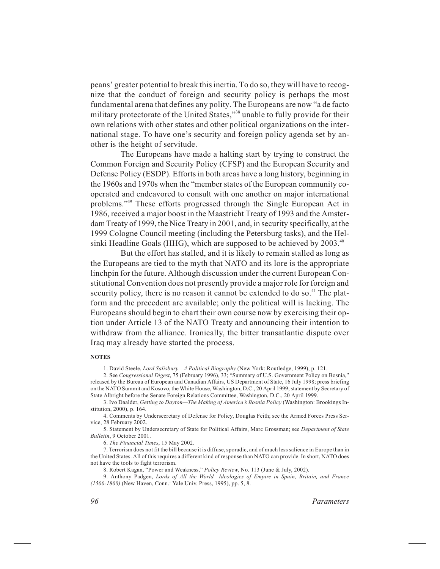peans' greater potential to break this inertia. To do so, they will have to recognize that the conduct of foreign and security policy is perhaps the most fundamental arena that defines any polity. The Europeans are now "a de facto military protectorate of the United States,"<sup>38</sup> unable to fully provide for their own relations with other states and other political organizations on the international stage. To have one's security and foreign policy agenda set by another is the height of servitude.

The Europeans have made a halting start by trying to construct the Common Foreign and Security Policy (CFSP) and the European Security and Defense Policy (ESDP). Efforts in both areas have a long history, beginning in the 1960s and 1970s when the "member states of the European community cooperated and endeavored to consult with one another on major international problems."39 These efforts progressed through the Single European Act in 1986, received a major boost in the Maastricht Treaty of 1993 and the Amsterdam Treaty of 1999, the Nice Treaty in 2001, and, in security specifically, at the 1999 Cologne Council meeting (including the Petersburg tasks), and the Helsinki Headline Goals (HHG), which are supposed to be achieved by  $2003.^{40}$ 

But the effort has stalled, and it is likely to remain stalled as long as the Europeans are tied to the myth that NATO and its lore is the appropriate linchpin for the future. Although discussion under the current European Constitutional Convention does not presently provide a major role for foreign and security policy, there is no reason it cannot be extended to do so.<sup>41</sup> The platform and the precedent are available; only the political will is lacking. The Europeans should begin to chart their own course now by exercising their option under Article 13 of the NATO Treaty and announcing their intention to withdraw from the alliance. Ironically, the bitter transatlantic dispute over Iraq may already have started the process.

#### **NOTES**

1. David Steele, *Lord Salisbury—A Political Biography* (New York: Routledge, 1999), p. 121.

2. See *Congressional Digest*, 75 (February 1996), 33; "Summary of U.S. Government Policy on Bosnia," released by the Bureau of European and Canadian Affairs, US Department of State, 16 July 1998; press briefing on the NATO Summit and Kosovo, the White House, Washington, D.C., 20 April 1999; statement by Secretary of State Albright before the Senate Foreign Relations Committee, Washington, D.C., 20 April 1999.

3. Ivo Daalder, *Getting to Dayton—The Making of America's Bosnia Policy* (Washington: Brookings Institution, 2000), p. 164.

4. Comments by Undersecretary of Defense for Policy, Douglas Feith; see the Armed Forces Press Service, 28 February 2002.

5. Statement by Undersecretary of State for Political Affairs, Marc Grossman; see *Department of State Bulletin*, 9 October 2001.

6. *The Financial Times*, 15 May 2002.

7. Terrorism does not fit the bill because it is diffuse, sporadic, and of much less salience in Europe than in the United States. All of this requires a different kind of response than NATO can provide. In short, NATO does not have the tools to fight terrorism.

8. Robert Kagan, "Power and Weakness," *Policy Review*, No. 113 (June & July, 2002).

9. Anthony Padgen, *Lords of All the World—Ideologies of Empire in Spain, Britain, and France (1500-1800)* (New Haven, Conn.: Yale Univ. Press, 1995), pp. 5, 8.